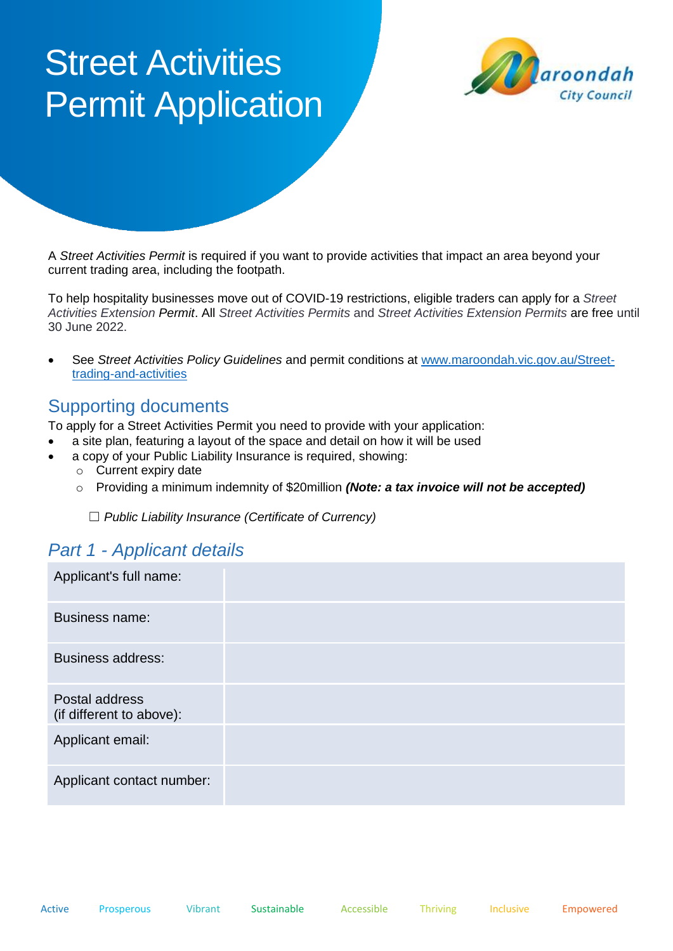# **Street Activities** Permit Application



A *Street Activities Permit* is required if you want to provide activities that impact an area beyond your current trading area, including the footpath.

To help hospitality businesses move out of COVID-19 restrictions, eligible traders can apply for a *Street Activities Extension Permit*. All *Street Activities Permits* and *Street Activities Extension Permits* are free until 30 June 2022.

• See *Street Activities Policy Guidelines* and permit conditions at [www.maroondah.vic.gov.au/Street](http://www.maroondah.vic.gov.au/Street-trading-and-activities)[trading-and-activities](http://www.maroondah.vic.gov.au/Street-trading-and-activities)

## Supporting documents

To apply for a Street Activities Permit you need to provide with your application:

- a site plan, featuring a layout of the space and detail on how it will be used
- a copy of your Public Liability Insurance is required, showing:
	- o Current expiry date
	- o Providing a minimum indemnity of \$20million *(Note: a tax invoice will not be accepted)*

☐ *Public Liability Insurance (Certificate of Currency)*

## *Part 1 - Applicant details*

| Applicant's full name:                     |  |
|--------------------------------------------|--|
| <b>Business name:</b>                      |  |
| <b>Business address:</b>                   |  |
| Postal address<br>(if different to above): |  |
| Applicant email:                           |  |
| Applicant contact number:                  |  |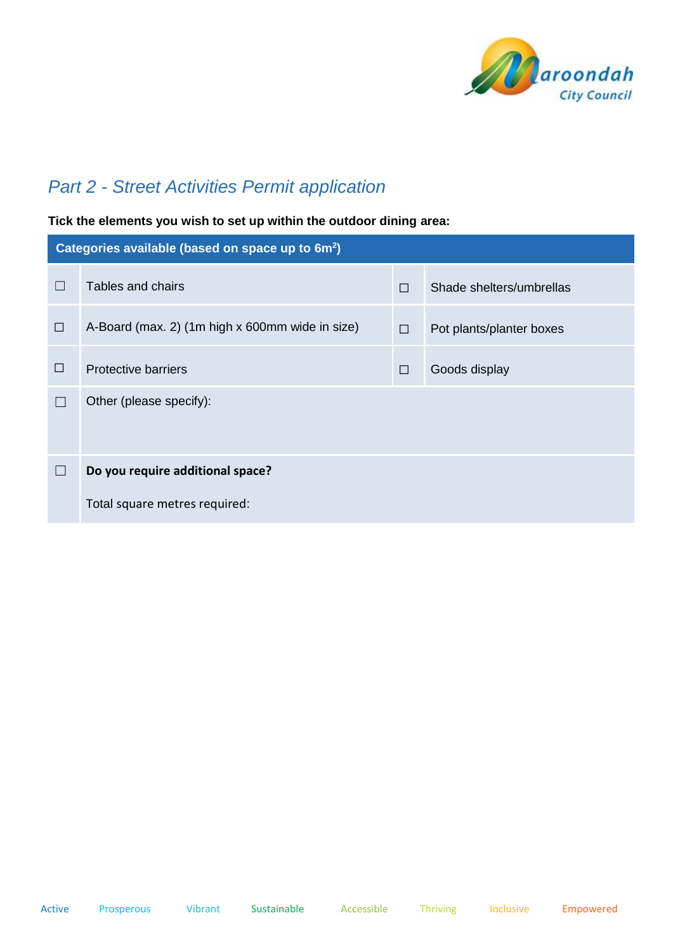

# *Part 2 - Street Activities Permit application*

#### **Tick the elements you wish to set up within the outdoor dining area:**

| Categories available (based on space up to 6m <sup>2</sup> ) |                                                 |        |                          |  |  |
|--------------------------------------------------------------|-------------------------------------------------|--------|--------------------------|--|--|
| $\Box$                                                       | Tables and chairs                               | $\Box$ | Shade shelters/umbrellas |  |  |
| П                                                            | A-Board (max. 2) (1m high x 600mm wide in size) | $\Box$ | Pot plants/planter boxes |  |  |
| □                                                            | <b>Protective barriers</b>                      | $\Box$ | Goods display            |  |  |
| $\Box$                                                       | Other (please specify):                         |        |                          |  |  |
| $\Box$                                                       | Do you require additional space?                |        |                          |  |  |
|                                                              | Total square metres required:                   |        |                          |  |  |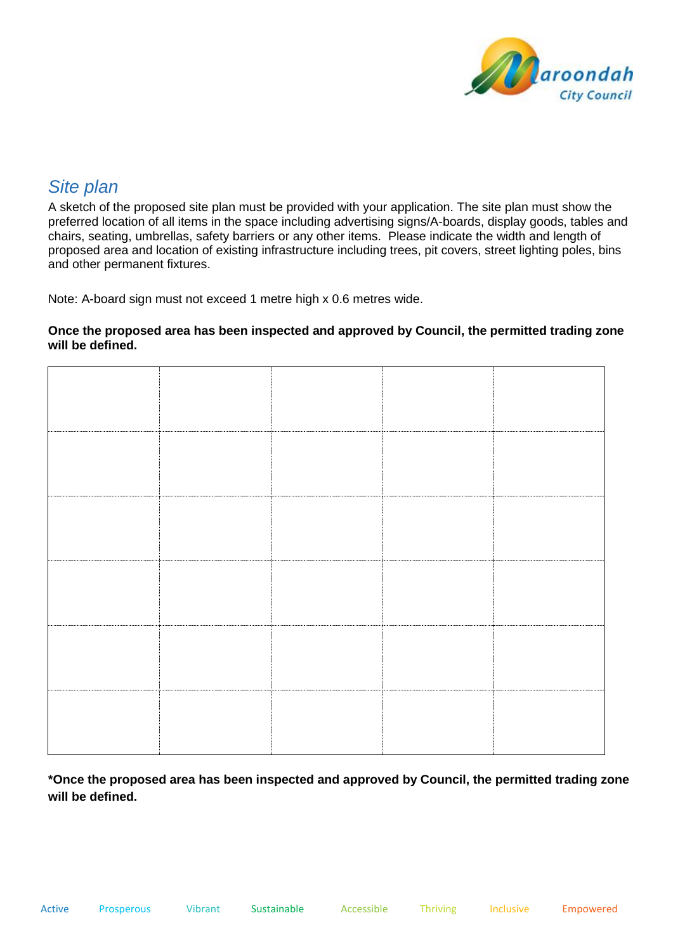

## *Site plan*

A sketch of the proposed site plan must be provided with your application. The site plan must show the preferred location of all items in the space including advertising signs/A-boards, display goods, tables and chairs, seating, umbrellas, safety barriers or any other items. Please indicate the width and length of proposed area and location of existing infrastructure including trees, pit covers, street lighting poles, bins and other permanent fixtures.

Note: A-board sign must not exceed 1 metre high x 0.6 metres wide.

#### **Once the proposed area has been inspected and approved by Council, the permitted trading zone will be defined.**

**\*Once the proposed area has been inspected and approved by Council, the permitted trading zone will be defined.**